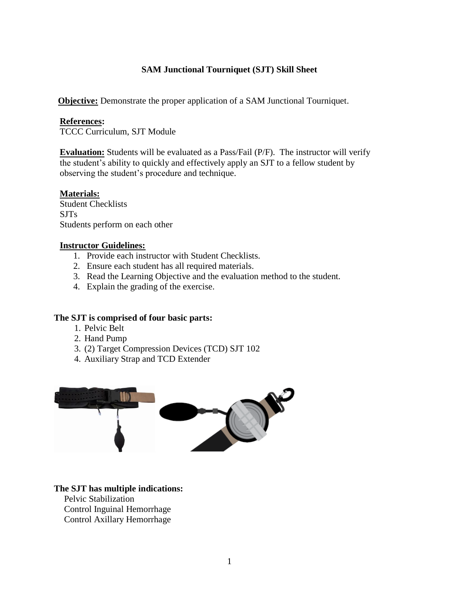# **SAM Junctional Tourniquet (SJT) Skill Sheet**

**Objective:** Demonstrate the proper application of a SAM Junctional Tourniquet.

#### **References:**

TCCC Curriculum, SJT Module

**Evaluation:** Students will be evaluated as a Pass/Fail (P/F). The instructor will verify the student's ability to quickly and effectively apply an SJT to a fellow student by observing the student's procedure and technique.

#### **Materials:**

Student Checklists SJTs Students perform on each other

#### **Instructor Guidelines:**

- 1. Provide each instructor with Student Checklists.
- 2. Ensure each student has all required materials.
- 3. Read the Learning Objective and the evaluation method to the student.
- 4. Explain the grading of the exercise.

#### **The SJT is comprised of four basic parts:**

- 1. Pelvic Belt
- 2. Hand Pump
- 3. (2) Target Compression Devices (TCD) SJT 102
- 4. Auxiliary Strap and TCD Extender



## **The SJT has multiple indications:**

Pelvic Stabilization Control Inguinal Hemorrhage Control Axillary Hemorrhage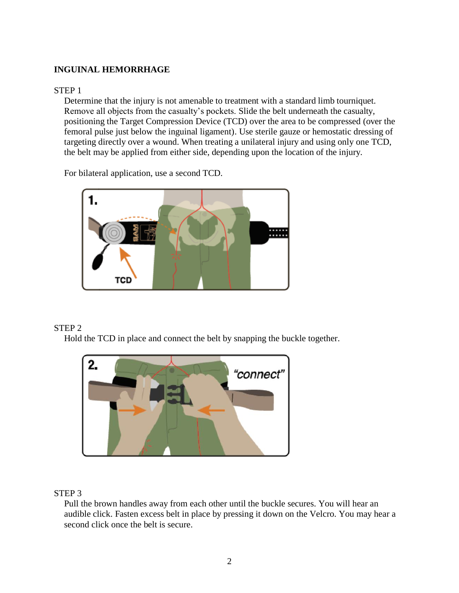# **INGUINAL HEMORRHAGE**

#### STEP 1

Determine that the injury is not amenable to treatment with a standard limb tourniquet. Remove all objects from the casualty's pockets. Slide the belt underneath the casualty, positioning the Target Compression Device (TCD) over the area to be compressed (over the femoral pulse just below the inguinal ligament). Use sterile gauze or hemostatic dressing of targeting directly over a wound. When treating a unilateral injury and using only one TCD, the belt may be applied from either side, depending upon the location of the injury.

For bilateral application, use a second TCD.



## STEP 2

Hold the TCD in place and connect the belt by snapping the buckle together.



## STEP 3

Pull the brown handles away from each other until the buckle secures. You will hear an audible click. Fasten excess belt in place by pressing it down on the Velcro. You may hear a second click once the belt is secure.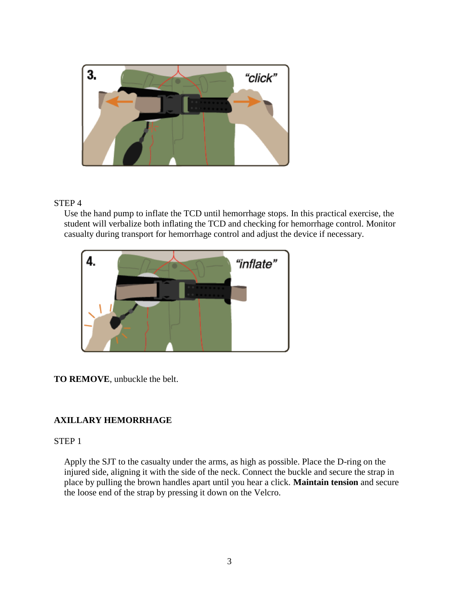

### STEP 4

Use the hand pump to inflate the TCD until hemorrhage stops. In this practical exercise, the student will verbalize both inflating the TCD and checking for hemorrhage control. Monitor casualty during transport for hemorrhage control and adjust the device if necessary.



**TO REMOVE**, unbuckle the belt.

# **AXILLARY HEMORRHAGE**

## STEP 1

Apply the SJT to the casualty under the arms, as high as possible. Place the D-ring on the injured side, aligning it with the side of the neck. Connect the buckle and secure the strap in place by pulling the brown handles apart until you hear a click. **Maintain tension** and secure the loose end of the strap by pressing it down on the Velcro.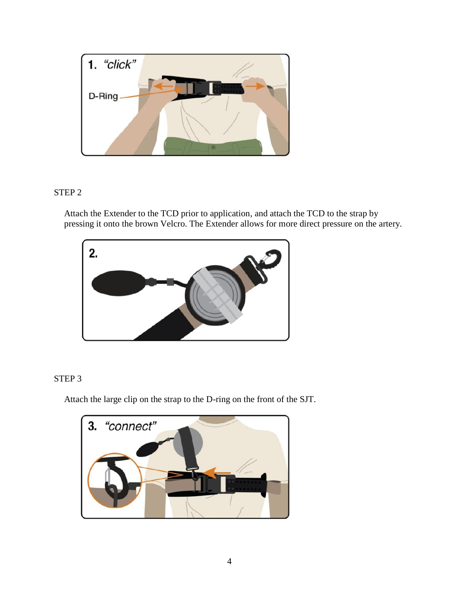

# STEP 2

Attach the Extender to the TCD prior to application, and attach the TCD to the strap by pressing it onto the brown Velcro. The Extender allows for more direct pressure on the artery.



# STEP 3

Attach the large clip on the strap to the D-ring on the front of the SJT.

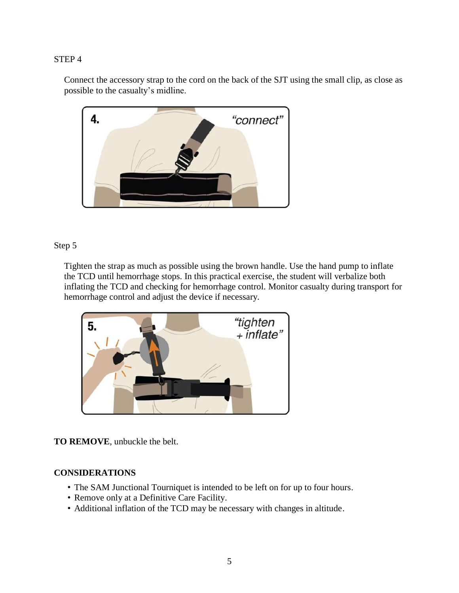STEP 4

Connect the accessory strap to the cord on the back of the SJT using the small clip, as close as possible to the casualty's midline.



### Step 5

Tighten the strap as much as possible using the brown handle. Use the hand pump to inflate the TCD until hemorrhage stops. In this practical exercise, the student will verbalize both inflating the TCD and checking for hemorrhage control. Monitor casualty during transport for hemorrhage control and adjust the device if necessary.



**TO REMOVE**, unbuckle the belt.

#### **CONSIDERATIONS**

- The SAM Junctional Tourniquet is intended to be left on for up to four hours.
- Remove only at a Definitive Care Facility.
- Additional inflation of the TCD may be necessary with changes in altitude.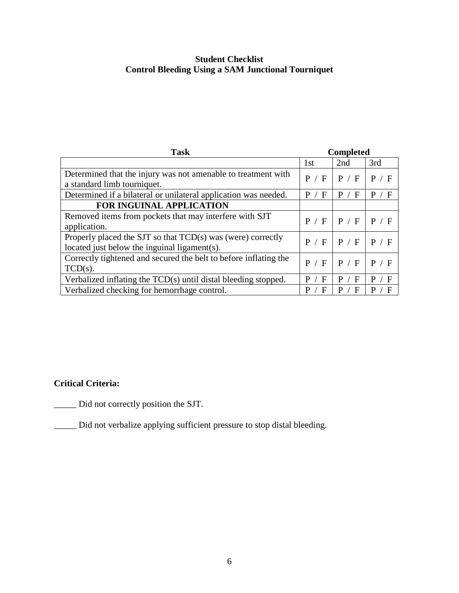# **Student Checklist Control Bleeding Using a SAM Junctional Tourniquet**

| <b>Task</b>                                                                                                 | <b>Completed</b> |                   |                  |
|-------------------------------------------------------------------------------------------------------------|------------------|-------------------|------------------|
|                                                                                                             | 1st              | 2nd               | 3rd              |
| Determined that the injury was not amenable to treatment with<br>a standard limb tourniquet.                | P /<br>F         | P / F             | P / F            |
| Determined if a bilateral or unilateral application was needed.                                             | P<br>F           | P.<br>$\mathbf F$ | P / F            |
| <b>FOR INGUINAL APPLICATION</b>                                                                             |                  |                   |                  |
| Removed items from pockets that may interfere with SJT<br>application.                                      | P / F            | P / F             | P / F            |
| Properly placed the SJT so that TCD(s) was (were) correctly<br>located just below the inguinal ligament(s). | P / F            | P / F             | P / F            |
| Correctly tightened and secured the belt to before inflating the<br>$TCD(s)$ .                              | F<br>P           | P / F             | P / F            |
| Verbalized inflating the TCD(s) until distal bleeding stopped.                                              | F<br>P           | F<br>P            | $\mathbf F$<br>P |
| Verbalized checking for hemorrhage control.                                                                 | F<br>Р           | F                 |                  |

# **Critical Criteria:**

\_\_\_\_\_ Did not correctly position the SJT.

\_\_\_\_\_ Did not verbalize applying sufficient pressure to stop distal bleeding.